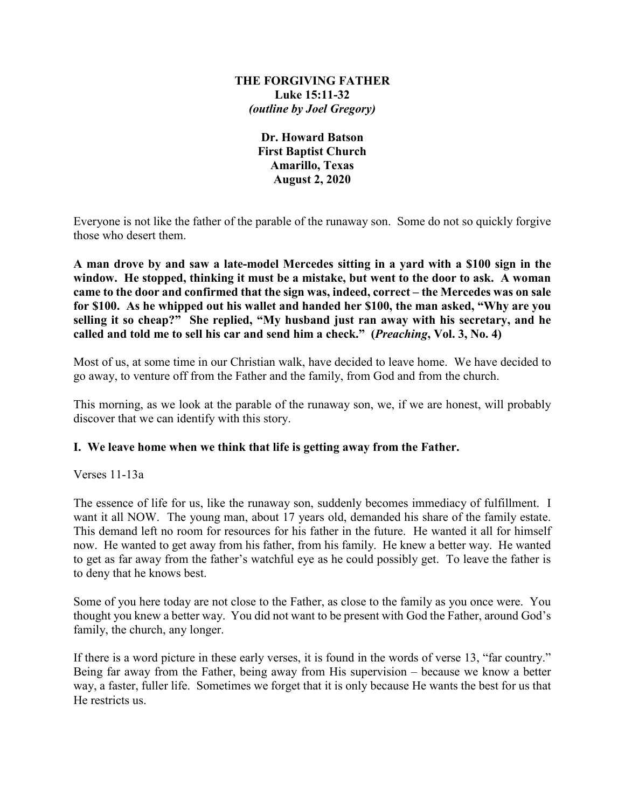# **THE FORGIVING FATHER Luke 15:11-32** *(outline by Joel Gregory)*

**Dr. Howard Batson First Baptist Church Amarillo, Texas August 2, 2020**

Everyone is not like the father of the parable of the runaway son. Some do not so quickly forgive those who desert them.

**A man drove by and saw a late-model Mercedes sitting in a yard with a \$100 sign in the window. He stopped, thinking it must be a mistake, but went to the door to ask. A woman came to the door and confirmed that the sign was, indeed, correct – the Mercedes was on sale for \$100. As he whipped out his wallet and handed her \$100, the man asked, "Why are you selling it so cheap?" She replied, "My husband just ran away with his secretary, and he called and told me to sell his car and send him a check." (***Preaching***, Vol. 3, No. 4)**

Most of us, at some time in our Christian walk, have decided to leave home. We have decided to go away, to venture off from the Father and the family, from God and from the church.

This morning, as we look at the parable of the runaway son, we, if we are honest, will probably discover that we can identify with this story.

# **I. We leave home when we think that life is getting away from the Father.**

#### Verses 11-13a

The essence of life for us, like the runaway son, suddenly becomes immediacy of fulfillment. I want it all NOW. The young man, about 17 years old, demanded his share of the family estate. This demand left no room for resources for his father in the future. He wanted it all for himself now. He wanted to get away from his father, from his family. He knew a better way. He wanted to get as far away from the father's watchful eye as he could possibly get. To leave the father is to deny that he knows best.

Some of you here today are not close to the Father, as close to the family as you once were. You thought you knew a better way. You did not want to be present with God the Father, around God's family, the church, any longer.

If there is a word picture in these early verses, it is found in the words of verse 13, "far country." Being far away from the Father, being away from His supervision – because we know a better way, a faster, fuller life. Sometimes we forget that it is only because He wants the best for us that He restricts us.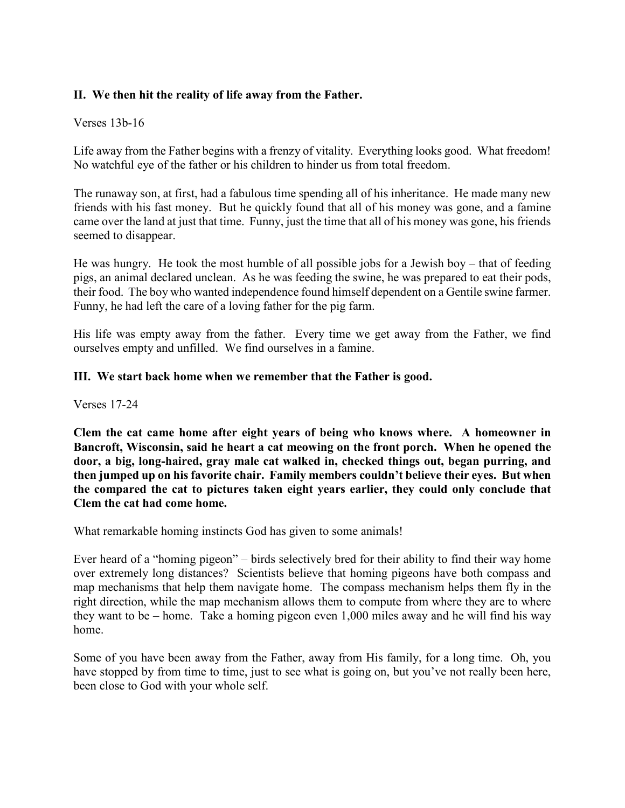# **II. We then hit the reality of life away from the Father.**

### Verses 13b-16

Life away from the Father begins with a frenzy of vitality. Everything looks good. What freedom! No watchful eye of the father or his children to hinder us from total freedom.

The runaway son, at first, had a fabulous time spending all of his inheritance. He made many new friends with his fast money. But he quickly found that all of his money was gone, and a famine came over the land at just that time. Funny, just the time that all of his money was gone, his friends seemed to disappear.

He was hungry. He took the most humble of all possible jobs for a Jewish boy – that of feeding pigs, an animal declared unclean. As he was feeding the swine, he was prepared to eat their pods, their food. The boy who wanted independence found himself dependent on a Gentile swine farmer. Funny, he had left the care of a loving father for the pig farm.

His life was empty away from the father. Every time we get away from the Father, we find ourselves empty and unfilled. We find ourselves in a famine.

### **III. We start back home when we remember that the Father is good.**

Verses 17-24

**Clem the cat came home after eight years of being who knows where. A homeowner in Bancroft, Wisconsin, said he heart a cat meowing on the front porch. When he opened the door, a big, long-haired, gray male cat walked in, checked things out, began purring, and then jumped up on his favorite chair. Family members couldn't believe their eyes. But when the compared the cat to pictures taken eight years earlier, they could only conclude that Clem the cat had come home.**

What remarkable homing instincts God has given to some animals!

Ever heard of a "homing pigeon" – birds selectively bred for their ability to find their way home over extremely long distances? Scientists believe that homing pigeons have both compass and map mechanisms that help them navigate home. The compass mechanism helps them fly in the right direction, while the map mechanism allows them to compute from where they are to where they want to be – home. Take a homing pigeon even 1,000 miles away and he will find his way home.

Some of you have been away from the Father, away from His family, for a long time. Oh, you have stopped by from time to time, just to see what is going on, but you've not really been here, been close to God with your whole self.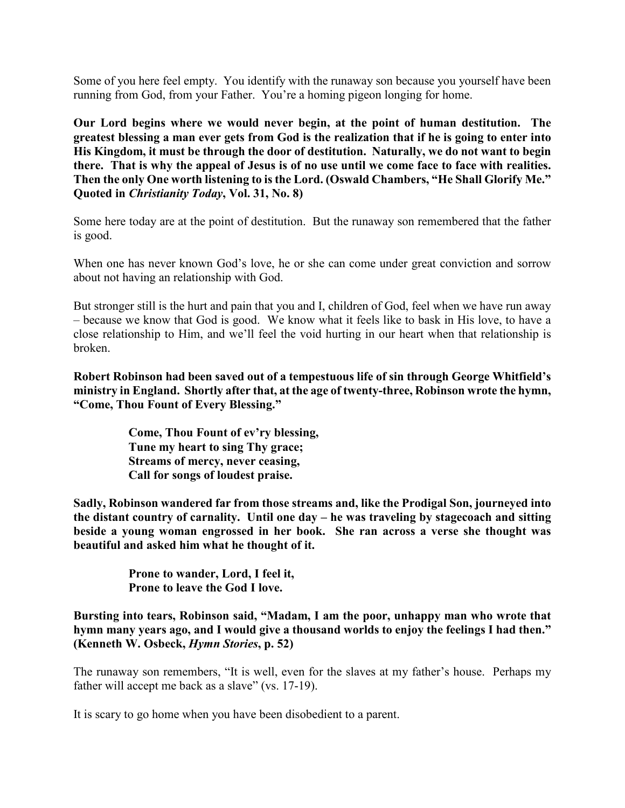Some of you here feel empty. You identify with the runaway son because you yourself have been running from God, from your Father. You're a homing pigeon longing for home.

**Our Lord begins where we would never begin, at the point of human destitution. The greatest blessing a man ever gets from God is the realization that if he is going to enter into His Kingdom, it must be through the door of destitution. Naturally, we do not want to begin there. That is why the appeal of Jesus is of no use until we come face to face with realities. Then the only One worth listening to is the Lord. (Oswald Chambers, "He Shall Glorify Me." Quoted in** *Christianity Today***, Vol. 31, No. 8)**

Some here today are at the point of destitution. But the runaway son remembered that the father is good.

When one has never known God's love, he or she can come under great conviction and sorrow about not having an relationship with God.

But stronger still is the hurt and pain that you and I, children of God, feel when we have run away – because we know that God is good. We know what it feels like to bask in His love, to have a close relationship to Him, and we'll feel the void hurting in our heart when that relationship is broken.

**Robert Robinson had been saved out of a tempestuous life of sin through George Whitfield's ministry in England. Shortly after that, at the age of twenty-three, Robinson wrote the hymn, "Come, Thou Fount of Every Blessing."**

> **Come, Thou Fount of ev'ry blessing, Tune my heart to sing Thy grace; Streams of mercy, never ceasing, Call for songs of loudest praise.**

**Sadly, Robinson wandered far from those streams and, like the Prodigal Son, journeyed into the distant country of carnality. Until one day – he was traveling by stagecoach and sitting beside a young woman engrossed in her book. She ran across a verse she thought was beautiful and asked him what he thought of it.**

> **Prone to wander, Lord, I feel it, Prone to leave the God I love.**

**Bursting into tears, Robinson said, "Madam, I am the poor, unhappy man who wrote that hymn many years ago, and I would give a thousand worlds to enjoy the feelings I had then." (Kenneth W. Osbeck,** *Hymn Stories***, p. 52)**

The runaway son remembers, "It is well, even for the slaves at my father's house. Perhaps my father will accept me back as a slave" (vs. 17-19).

It is scary to go home when you have been disobedient to a parent.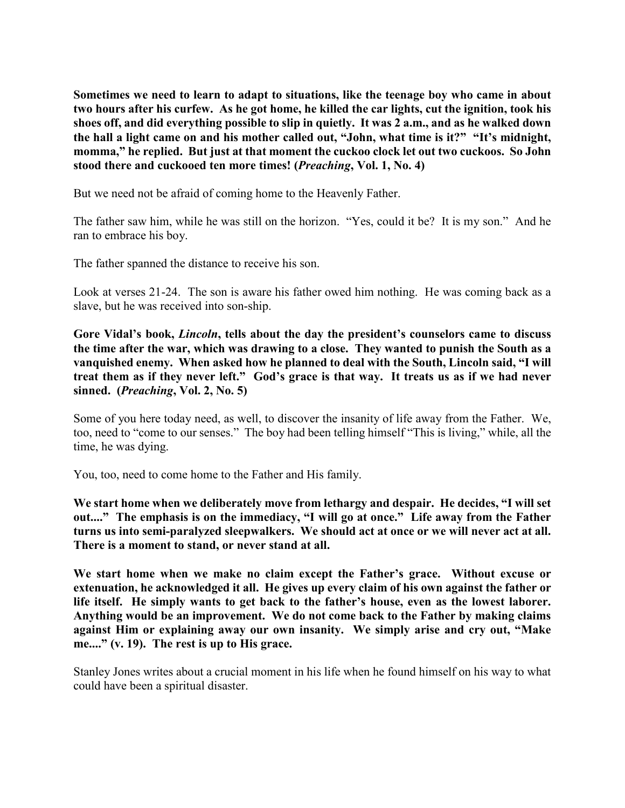**Sometimes we need to learn to adapt to situations, like the teenage boy who came in about two hours after his curfew. As he got home, he killed the car lights, cut the ignition, took his shoes off, and did everything possible to slip in quietly. It was 2 a.m., and as he walked down the hall a light came on and his mother called out, "John, what time is it?" "It's midnight, momma," he replied. But just at that moment the cuckoo clock let out two cuckoos. So John stood there and cuckooed ten more times! (***Preaching***, Vol. 1, No. 4)**

But we need not be afraid of coming home to the Heavenly Father.

The father saw him, while he was still on the horizon. "Yes, could it be? It is my son." And he ran to embrace his boy.

The father spanned the distance to receive his son.

Look at verses 21-24. The son is aware his father owed him nothing. He was coming back as a slave, but he was received into son-ship.

**Gore Vidal's book,** *Lincoln***, tells about the day the president's counselors came to discuss the time after the war, which was drawing to a close. They wanted to punish the South as a vanquished enemy. When asked how he planned to deal with the South, Lincoln said, "I will treat them as if they never left." God's grace is that way. It treats us as if we had never sinned. (***Preaching***, Vol. 2, No. 5)**

Some of you here today need, as well, to discover the insanity of life away from the Father. We, too, need to "come to our senses." The boy had been telling himself "This is living," while, all the time, he was dying.

You, too, need to come home to the Father and His family.

**We start home when we deliberately move from lethargy and despair. He decides, "I will set out...." The emphasis is on the immediacy, "I will go at once." Life away from the Father turns us into semi-paralyzed sleepwalkers. We should act at once or we will never act at all. There is a moment to stand, or never stand at all.**

**We start home when we make no claim except the Father's grace. Without excuse or extenuation, he acknowledged it all. He gives up every claim of his own against the father or life itself. He simply wants to get back to the father's house, even as the lowest laborer. Anything would be an improvement. We do not come back to the Father by making claims against Him or explaining away our own insanity. We simply arise and cry out, "Make me...." (v. 19). The rest is up to His grace.**

Stanley Jones writes about a crucial moment in his life when he found himself on his way to what could have been a spiritual disaster.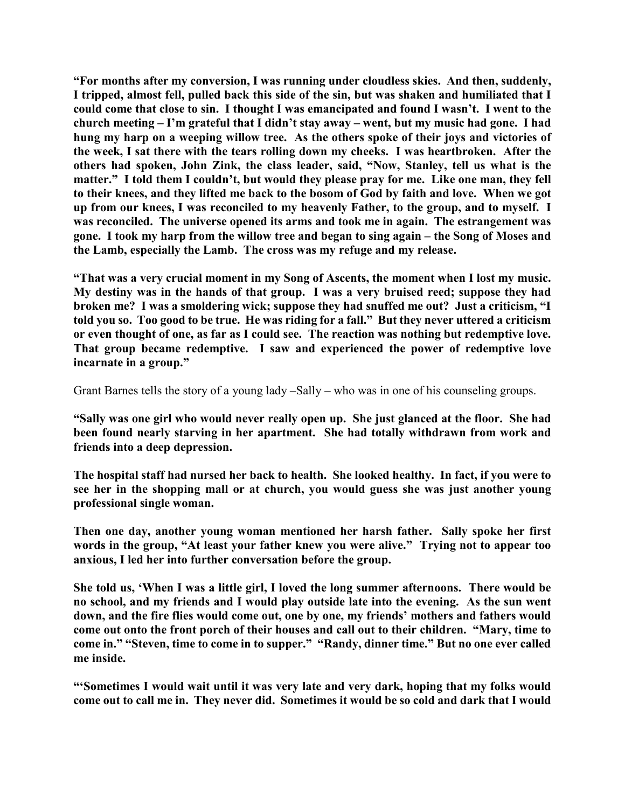**"For months after my conversion, I was running under cloudless skies. And then, suddenly, I tripped, almost fell, pulled back this side of the sin, but was shaken and humiliated that I could come that close to sin. I thought I was emancipated and found I wasn't. I went to the church meeting – I'm grateful that I didn't stay away – went, but my music had gone. I had hung my harp on a weeping willow tree. As the others spoke of their joys and victories of the week, I sat there with the tears rolling down my cheeks. I was heartbroken. After the others had spoken, John Zink, the class leader, said, "Now, Stanley, tell us what is the matter." I told them I couldn't, but would they please pray for me. Like one man, they fell to their knees, and they lifted me back to the bosom of God by faith and love. When we got up from our knees, I was reconciled to my heavenly Father, to the group, and to myself. I was reconciled. The universe opened its arms and took me in again. The estrangement was gone. I took my harp from the willow tree and began to sing again – the Song of Moses and the Lamb, especially the Lamb. The cross was my refuge and my release.**

**"That was a very crucial moment in my Song of Ascents, the moment when I lost my music. My destiny was in the hands of that group. I was a very bruised reed; suppose they had broken me? I was a smoldering wick; suppose they had snuffed me out? Just a criticism, "I told you so. Too good to be true. He was riding for a fall." But they never uttered a criticism or even thought of one, as far as I could see. The reaction was nothing but redemptive love. That group became redemptive. I saw and experienced the power of redemptive love incarnate in a group."**

Grant Barnes tells the story of a young lady –Sally – who was in one of his counseling groups.

**"Sally was one girl who would never really open up. She just glanced at the floor. She had been found nearly starving in her apartment. She had totally withdrawn from work and friends into a deep depression.**

**The hospital staff had nursed her back to health. She looked healthy. In fact, if you were to see her in the shopping mall or at church, you would guess she was just another young professional single woman.**

**Then one day, another young woman mentioned her harsh father. Sally spoke her first words in the group, "At least your father knew you were alive." Trying not to appear too anxious, I led her into further conversation before the group.**

**She told us, 'When I was a little girl, I loved the long summer afternoons. There would be no school, and my friends and I would play outside late into the evening. As the sun went down, and the fire flies would come out, one by one, my friends' mothers and fathers would come out onto the front porch of their houses and call out to their children. "Mary, time to come in." "Steven, time to come in to supper." "Randy, dinner time." But no one ever called me inside.**

**"'Sometimes I would wait until it was very late and very dark, hoping that my folks would come out to call me in. They never did. Sometimes it would be so cold and dark that I would**